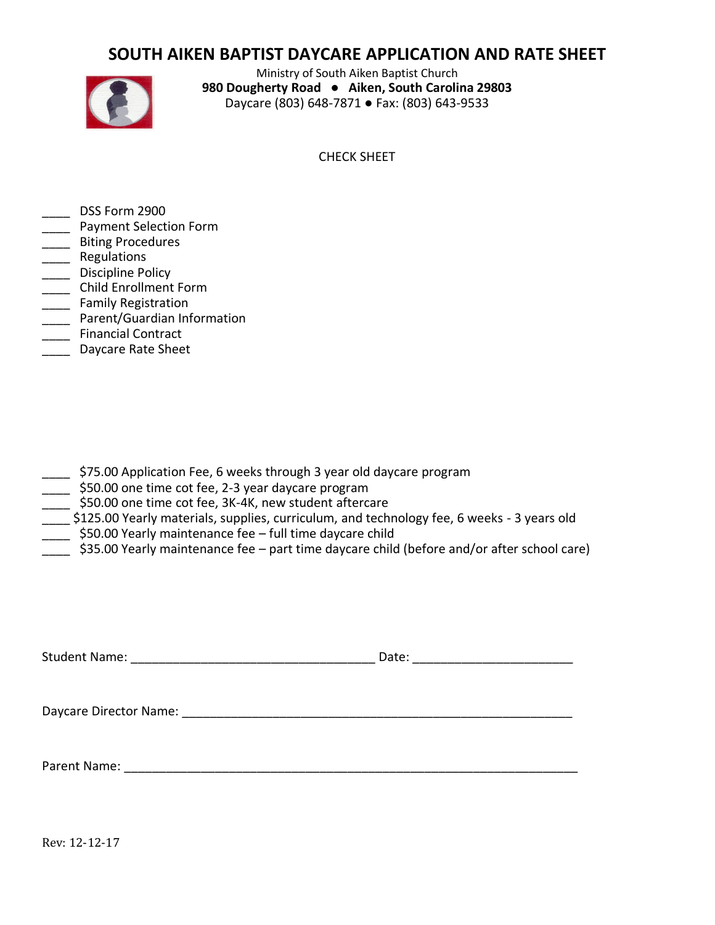# **SOUTH AIKEN BAPTIST DAYCARE APPLICATION AND RATE SHEET**



Ministry of South Aiken Baptist Church **980 Dougherty Road ● Aiken, South Carolina 29803**  Daycare (803) 648-7871 ● Fax: (803) 643-9533

CHECK SHEET

- DSS Form 2900
- \_\_\_\_ Payment Selection Form
- \_\_\_\_ Biting Procedures
- \_\_\_\_ Regulations
- \_\_\_\_\_ Discipline Policy
- \_\_\_\_ Child Enrollment Form
- **\_\_\_\_** Family Registration
- \_\_\_\_ Parent/Guardian Information
- \_\_\_\_ Financial Contract
- \_\_\_\_ Daycare Rate Sheet

- \_\_\_\_ \$75.00 Application Fee, 6 weeks through 3 year old daycare program
- \_\_\_\_ \$50.00 one time cot fee, 2-3 year daycare program
- \$50.00 one time cot fee, 3K-4K, new student aftercare
- \_\_\_\_ \$125.00 Yearly materials, supplies, curriculum, and technology fee, 6 weeks 3 years old
- \_\_\_\_ \$50.00 Yearly maintenance fee full time daycare child
- \_\_\_\_ \$35.00 Yearly maintenance fee part time daycare child (before and/or after school care)

Student Name: \_\_\_\_\_\_\_\_\_\_\_\_\_\_\_\_\_\_\_\_\_\_\_\_\_\_\_\_\_\_\_\_\_\_\_ Date: \_\_\_\_\_\_\_\_\_\_\_\_\_\_\_\_\_\_\_\_\_\_\_

Daycare Director Name: \_\_\_\_\_\_\_\_\_\_\_\_\_\_\_\_\_\_\_\_\_\_\_\_\_\_\_\_\_\_\_\_\_\_\_\_\_\_\_\_\_\_\_\_\_\_\_\_\_\_\_\_\_\_\_\_

Parent Name: \_\_\_\_\_\_\_\_\_\_\_\_\_\_\_\_\_\_\_\_\_\_\_\_\_\_\_\_\_\_\_\_\_\_\_\_\_\_\_\_\_\_\_\_\_\_\_\_\_\_\_\_\_\_\_\_\_\_\_\_\_\_\_\_\_

Rev: 12-12-17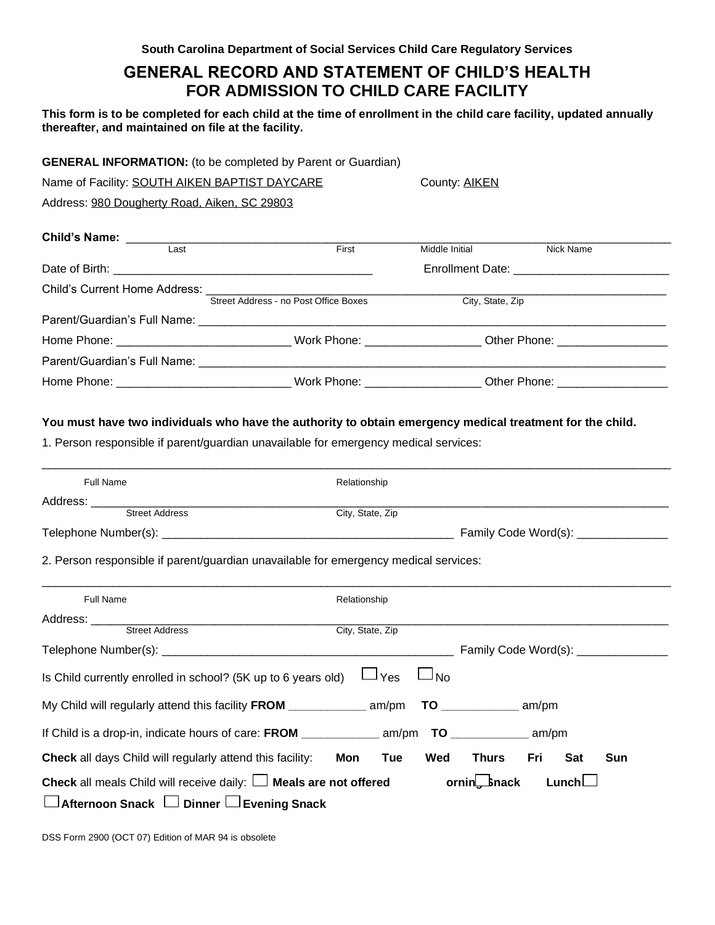# **GENERAL RECORD AND STATEMENT OF CHILD'S HEALTH FOR ADMISSION TO CHILD CARE FACILITY**

**This form is to be completed for each child at the time of enrollment in the child care facility, updated annually thereafter, and maintained on file at the facility.**

| <b>GENERAL INFORMATION:</b> (to be completed by Parent or Guardian) |  |  |  |  |
|---------------------------------------------------------------------|--|--|--|--|
|---------------------------------------------------------------------|--|--|--|--|

| Name of Facility: SOUTH AIKEN BAPTIST DAYCARE | County: AIKEN |
|-----------------------------------------------|---------------|
| Address: 980 Dougherty Road, Aiken, SC 29803  |               |

| Last                          | First                                 | Middle Initial   | Nick Name                                                                        |  |
|-------------------------------|---------------------------------------|------------------|----------------------------------------------------------------------------------|--|
|                               |                                       |                  | Enrollment Date: _____________________________                                   |  |
| Child's Current Home Address: | Street Address - no Post Office Boxes | City, State, Zip |                                                                                  |  |
|                               |                                       |                  |                                                                                  |  |
|                               |                                       |                  | Work Phone: __________________________Other Phone: _____________________________ |  |
|                               |                                       |                  |                                                                                  |  |
|                               | Work Phone: ____________________      |                  | Other Phone: ____________________                                                |  |

#### **You must have two individuals who have the authority to obtain emergency medical treatment for the child.**

1. Person responsible if parent/guardian unavailable for emergency medical services:

| <b>Full Name</b>                                                                           | Relationship                                                         |
|--------------------------------------------------------------------------------------------|----------------------------------------------------------------------|
|                                                                                            |                                                                      |
| Address: ____________________<br>Street Address                                            | City, State, Zip                                                     |
|                                                                                            | Family Code Word(s): ________________                                |
| 2. Person responsible if parent/guardian unavailable for emergency medical services:       |                                                                      |
|                                                                                            |                                                                      |
| <b>Full Name</b>                                                                           | Relationship                                                         |
|                                                                                            |                                                                      |
| Street Address                                                                             | City, State, Zip                                                     |
|                                                                                            |                                                                      |
| Is Child currently enrolled in school? (5K up to 6 years old)                              | $\Box$ Yes<br>$\Box$ No                                              |
| My Child will regularly attend this facility FROM _____________ am/pm TO ___________ am/pm |                                                                      |
|                                                                                            |                                                                      |
| <b>Check</b> all days Child will regularly attend this facility:                           | Wed<br><b>Thurs</b><br>Fri<br>Sat<br><b>Sun</b><br>Mon<br><b>Tue</b> |
| <b>Check</b> all meals Child will receive daily: $\Box$ <b>Meals are not offered</b>       | ornin <sub>z-</sub> Snack<br>Lunch                                   |
| Afternoon Snack LJ Dinner LJ Evening Snack                                                 |                                                                      |

DSS Form 2900 (OCT 07) Edition of MAR 94 is obsolete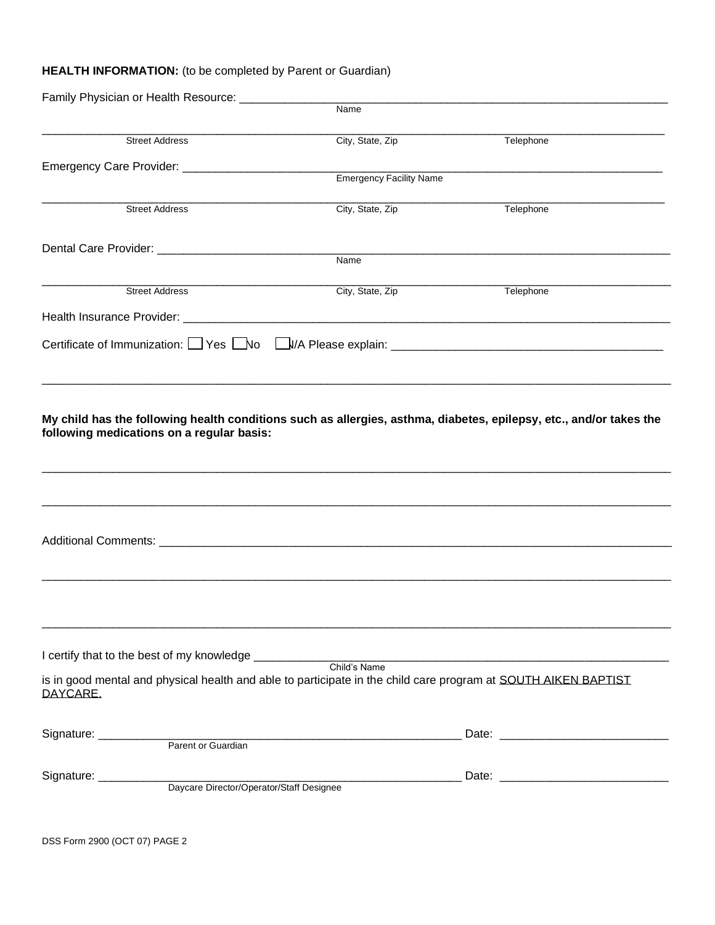### **HEALTH INFORMATION:** (to be completed by Parent or Guardian)

| Family Physician or Health Resource: __________                                                                            | Name                           |           |
|----------------------------------------------------------------------------------------------------------------------------|--------------------------------|-----------|
|                                                                                                                            |                                |           |
| <b>Street Address</b>                                                                                                      | City, State, Zip               | Telephone |
|                                                                                                                            |                                |           |
|                                                                                                                            | <b>Emergency Facility Name</b> |           |
| <b>Street Address</b>                                                                                                      | City, State, Zip               | Telephone |
|                                                                                                                            |                                |           |
|                                                                                                                            | Name                           |           |
| <b>Street Address</b>                                                                                                      | City, State, Zip               | Telephone |
|                                                                                                                            |                                |           |
|                                                                                                                            |                                |           |
| following medications on a regular basis:                                                                                  |                                |           |
|                                                                                                                            |                                |           |
|                                                                                                                            |                                |           |
| I certify that to the best of my knowledge ____________                                                                    |                                |           |
| is in good mental and physical health and able to participate in the child care program at SOUTH AIKEN BAPTIST<br>DAYCARE. | Child's Name                   |           |
|                                                                                                                            |                                |           |
| Signature: __________                                                                                                      |                                |           |
| Daycare Director/Operator/Staff Designee                                                                                   |                                |           |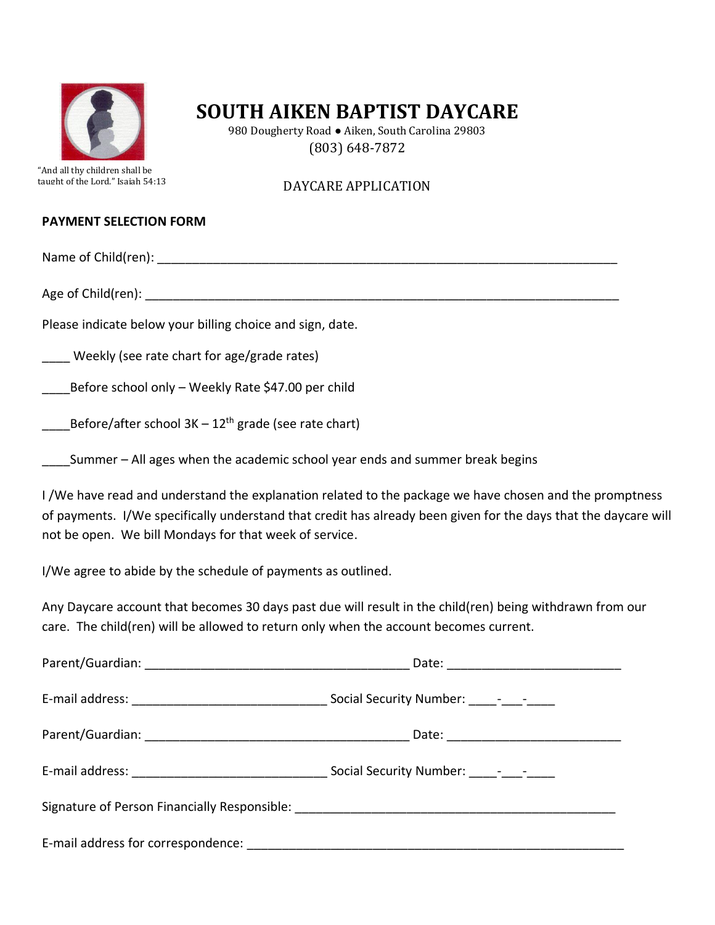

980 Dougherty Road ● Aiken, South Carolina 29803 (803) 648-7872

"And all thy children shall be taught of the Lord." Isaiah 54:13

## DAYCARE APPLICATION

### **PAYMENT SELECTION FORM**

Name of Child(ren): when the contract of  $\mathcal{L}$  is a set of  $\mathcal{L}$  is a set of  $\mathcal{L}$  is a set of  $\mathcal{L}$  is a set of  $\mathcal{L}$  is a set of  $\mathcal{L}$  is a set of  $\mathcal{L}$  is a set of  $\mathcal{L}$  is a set of  $\mathcal{L}$  is a

Age of Child(ren): **Age of Child**(ren):

Please indicate below your billing choice and sign, date.

Weekly (see rate chart for age/grade rates)

Before school only – Weekly Rate \$47.00 per child

Before/after school  $3K - 12<sup>th</sup>$  grade (see rate chart)

Summer – All ages when the academic school year ends and summer break begins

I /We have read and understand the explanation related to the package we have chosen and the promptness of payments. I/We specifically understand that credit has already been given for the days that the daycare will not be open. We bill Mondays for that week of service.

I/We agree to abide by the schedule of payments as outlined.

Any Daycare account that becomes 30 days past due will result in the child(ren) being withdrawn from our care. The child(ren) will be allowed to return only when the account becomes current.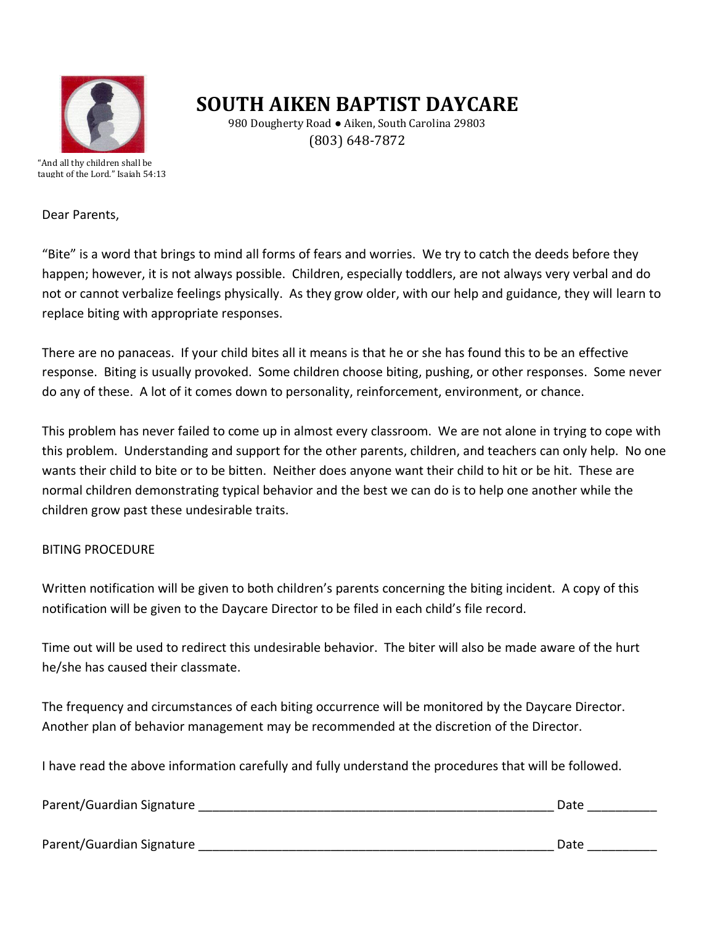

980 Dougherty Road ● Aiken, South Carolina 29803 (803) 648-7872

"And all thy children shall be taught of the Lord." Isaiah 54:13

Dear Parents,

"Bite" is a word that brings to mind all forms of fears and worries. We try to catch the deeds before they happen; however, it is not always possible. Children, especially toddlers, are not always very verbal and do not or cannot verbalize feelings physically. As they grow older, with our help and guidance, they will learn to replace biting with appropriate responses.

There are no panaceas. If your child bites all it means is that he or she has found this to be an effective response. Biting is usually provoked. Some children choose biting, pushing, or other responses. Some never do any of these. A lot of it comes down to personality, reinforcement, environment, or chance.

This problem has never failed to come up in almost every classroom. We are not alone in trying to cope with this problem. Understanding and support for the other parents, children, and teachers can only help. No one wants their child to bite or to be bitten. Neither does anyone want their child to hit or be hit. These are normal children demonstrating typical behavior and the best we can do is to help one another while the children grow past these undesirable traits.

### BITING PROCEDURE

Written notification will be given to both children's parents concerning the biting incident. A copy of this notification will be given to the Daycare Director to be filed in each child's file record.

Time out will be used to redirect this undesirable behavior. The biter will also be made aware of the hurt he/she has caused their classmate.

The frequency and circumstances of each biting occurrence will be monitored by the Daycare Director. Another plan of behavior management may be recommended at the discretion of the Director.

I have read the above information carefully and fully understand the procedures that will be followed.

Parent/Guardian Signature \_\_\_\_\_\_\_\_\_\_\_\_\_\_\_\_\_\_\_\_\_\_\_\_\_\_\_\_\_\_\_\_\_\_\_\_\_\_\_\_\_\_\_\_\_\_\_\_\_\_\_ Date \_\_\_\_\_\_\_\_\_\_

Parent/Guardian Signature entries and the set of the set of the set of the set of the set of the set of the set o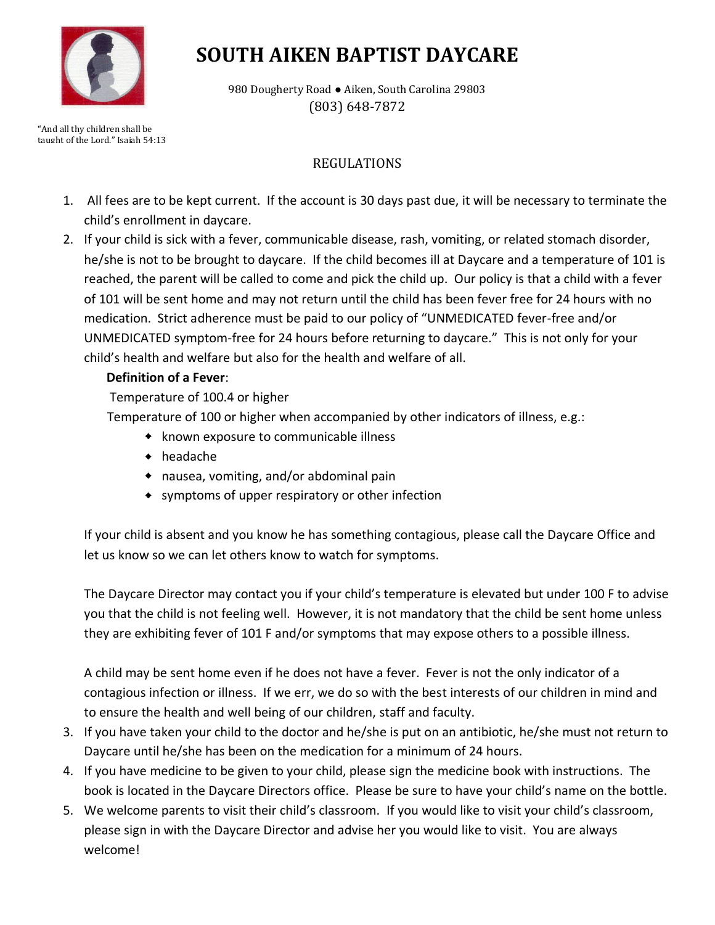

980 Dougherty Road · Aiken, South Carolina 29803 (803) 648-7872

"And all thy children shall be taught of the Lord." Isaiah 54:13

# REGULATIONS

- 1. All fees are to be kept current. If the account is 30 days past due, it will be necessary to terminate the child's enrollment in daycare.
- 2. If your child is sick with a fever, communicable disease, rash, vomiting, or related stomach disorder, he/she is not to be brought to daycare. If the child becomes ill at Daycare and a temperature of 101 is reached, the parent will be called to come and pick the child up. Our policy is that a child with a fever of 101 will be sent home and may not return until the child has been fever free for 24 hours with no medication. Strict adherence must be paid to our policy of "UNMEDICATED fever-free and/or UNMEDICATED symptom-free for 24 hours before returning to daycare." This is not only for your child's health and welfare but also for the health and welfare of all.

## **Definition of a Fever**:

Temperature of 100.4 or higher

Temperature of 100 or higher when accompanied by other indicators of illness, e.g.:

- known exposure to communicable illness
- headache
- nausea, vomiting, and/or abdominal pain
- symptoms of upper respiratory or other infection

If your child is absent and you know he has something contagious, please call the Daycare Office and let us know so we can let others know to watch for symptoms.

The Daycare Director may contact you if your child's temperature is elevated but under 100 F to advise you that the child is not feeling well. However, it is not mandatory that the child be sent home unless they are exhibiting fever of 101 F and/or symptoms that may expose others to a possible illness.

A child may be sent home even if he does not have a fever. Fever is not the only indicator of a contagious infection or illness. If we err, we do so with the best interests of our children in mind and to ensure the health and well being of our children, staff and faculty.

- 3. If you have taken your child to the doctor and he/she is put on an antibiotic, he/she must not return to Daycare until he/she has been on the medication for a minimum of 24 hours.
- 4. If you have medicine to be given to your child, please sign the medicine book with instructions. The book is located in the Daycare Directors office. Please be sure to have your child's name on the bottle.
- 5. We welcome parents to visit their child's classroom. If you would like to visit your child's classroom, please sign in with the Daycare Director and advise her you would like to visit. You are always welcome!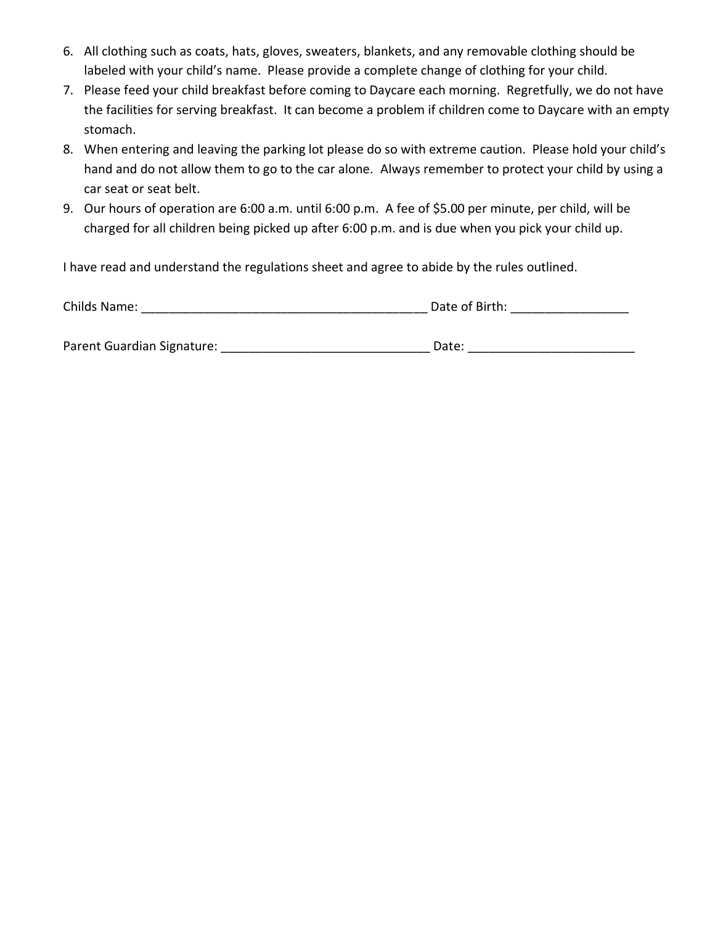- 6. All clothing such as coats, hats, gloves, sweaters, blankets, and any removable clothing should be labeled with your child's name. Please provide a complete change of clothing for your child.
- 7. Please feed your child breakfast before coming to Daycare each morning. Regretfully, we do not have the facilities for serving breakfast. It can become a problem if children come to Daycare with an empty stomach.
- 8. When entering and leaving the parking lot please do so with extreme caution. Please hold your child's hand and do not allow them to go to the car alone. Always remember to protect your child by using a car seat or seat belt.
- 9. Our hours of operation are 6:00 a.m. until 6:00 p.m. A fee of \$5.00 per minute, per child, will be charged for all children being picked up after 6:00 p.m. and is due when you pick your child up.

I have read and understand the regulations sheet and agree to abide by the rules outlined.

| Childs Name: | Date of Birth: |
|--------------|----------------|
|              |                |

Parent Guardian Signature: \_\_\_\_\_\_\_\_\_\_\_\_\_\_\_\_\_\_\_\_\_\_\_\_\_\_\_\_\_\_ Date: \_\_\_\_\_\_\_\_\_\_\_\_\_\_\_\_\_\_\_\_\_\_\_\_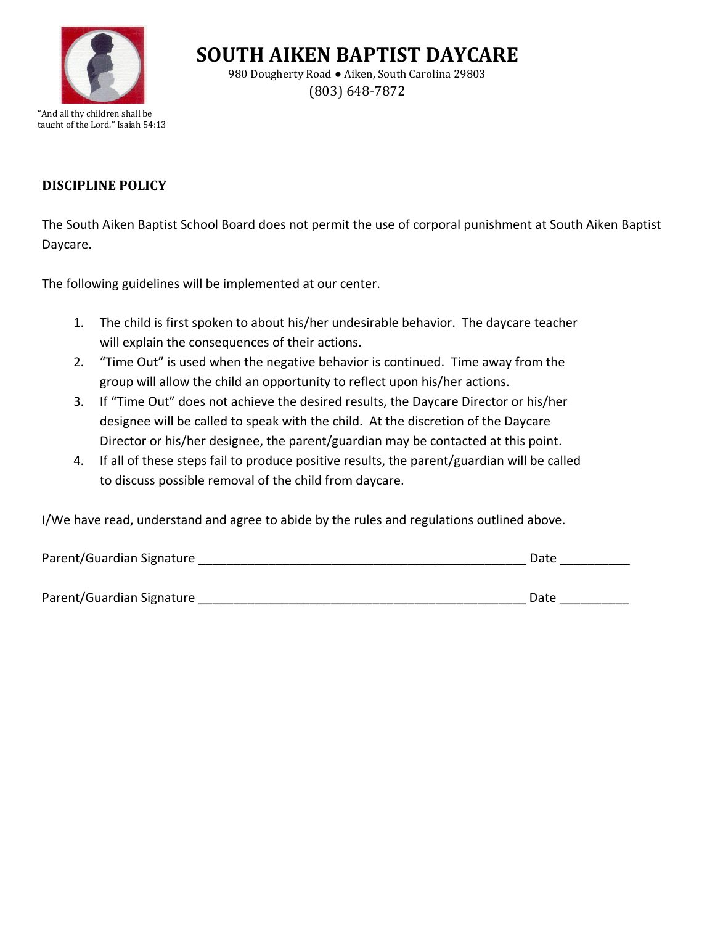

980 Dougherty Road ● Aiken, South Carolina 29803 (803) 648-7872

"And all thy children shall be taught of the Lord." Isaiah 54:13

# **DISCIPLINE POLICY**

The South Aiken Baptist School Board does not permit the use of corporal punishment at South Aiken Baptist Daycare.

The following guidelines will be implemented at our center.

- 1. The child is first spoken to about his/her undesirable behavior. The daycare teacher will explain the consequences of their actions.
- 2. "Time Out" is used when the negative behavior is continued. Time away from the group will allow the child an opportunity to reflect upon his/her actions.
- 3. If "Time Out" does not achieve the desired results, the Daycare Director or his/her designee will be called to speak with the child. At the discretion of the Daycare Director or his/her designee, the parent/guardian may be contacted at this point.
- 4. If all of these steps fail to produce positive results, the parent/guardian will be called to discuss possible removal of the child from daycare.

I/We have read, understand and agree to abide by the rules and regulations outlined above.

| Parent/Guardian Signature | Date |
|---------------------------|------|
|                           |      |
| Parent/Guardian Signature | Date |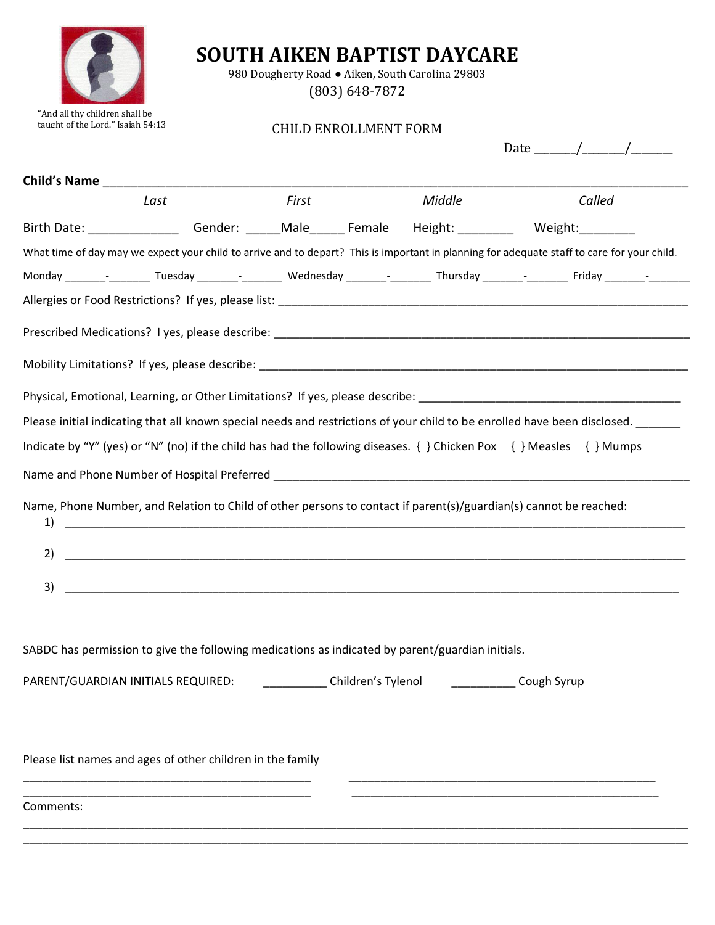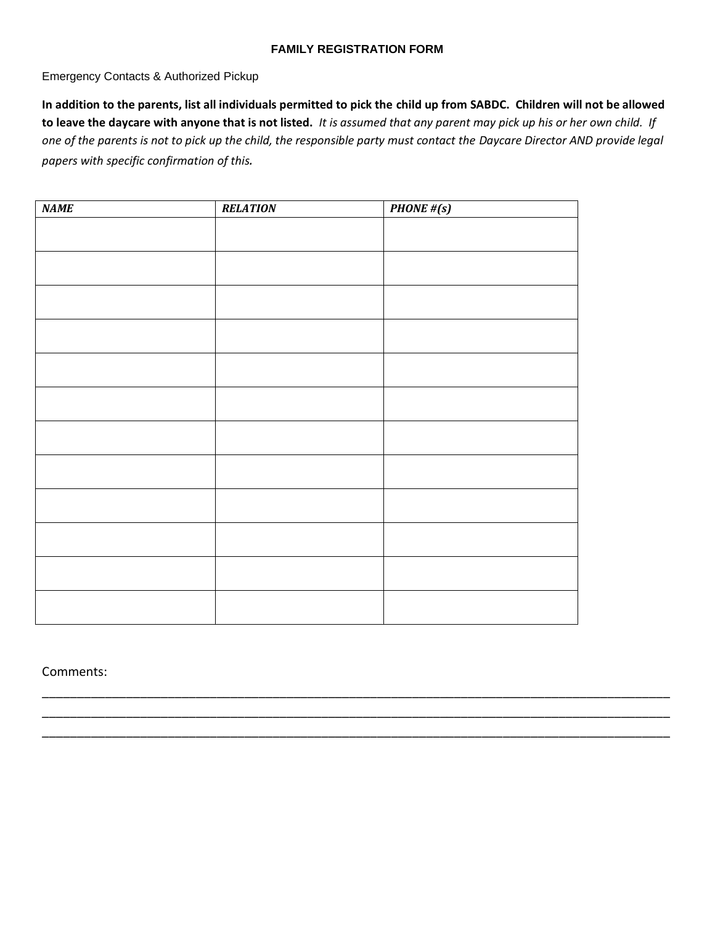### **FAMILY REGISTRATION FORM**

Emergency Contacts & Authorized Pickup

**In addition to the parents, list all individuals permitted to pick the child up from SABDC. Children will not be allowed to leave the daycare with anyone that is not listed.** *It is assumed that any parent may pick up his or her own child. If one of the parents is not to pick up the child, the responsible party must contact the Daycare Director AND provide legal papers with specific confirmation of this.*

| <b>NAME</b> | <b>RELATION</b> | <b>PHONE</b> # $(s)$ |  |
|-------------|-----------------|----------------------|--|
|             |                 |                      |  |
|             |                 |                      |  |
|             |                 |                      |  |
|             |                 |                      |  |
|             |                 |                      |  |
|             |                 |                      |  |
|             |                 |                      |  |
|             |                 |                      |  |
|             |                 |                      |  |
|             |                 |                      |  |
|             |                 |                      |  |
|             |                 |                      |  |
|             |                 |                      |  |

\_\_\_\_\_\_\_\_\_\_\_\_\_\_\_\_\_\_\_\_\_\_\_\_\_\_\_\_\_\_\_\_\_\_\_\_\_\_\_\_\_\_\_\_\_\_\_\_\_\_\_\_\_\_\_\_\_\_\_\_\_\_\_\_\_\_\_\_\_\_\_\_\_\_\_\_\_\_\_\_\_\_\_\_\_\_\_\_\_\_ \_\_\_\_\_\_\_\_\_\_\_\_\_\_\_\_\_\_\_\_\_\_\_\_\_\_\_\_\_\_\_\_\_\_\_\_\_\_\_\_\_\_\_\_\_\_\_\_\_\_\_\_\_\_\_\_\_\_\_\_\_\_\_\_\_\_\_\_\_\_\_\_\_\_\_\_\_\_\_\_\_\_\_\_\_\_\_\_\_\_ \_\_\_\_\_\_\_\_\_\_\_\_\_\_\_\_\_\_\_\_\_\_\_\_\_\_\_\_\_\_\_\_\_\_\_\_\_\_\_\_\_\_\_\_\_\_\_\_\_\_\_\_\_\_\_\_\_\_\_\_\_\_\_\_\_\_\_\_\_\_\_\_\_\_\_\_\_\_\_\_\_\_\_\_\_\_\_\_\_\_

Comments: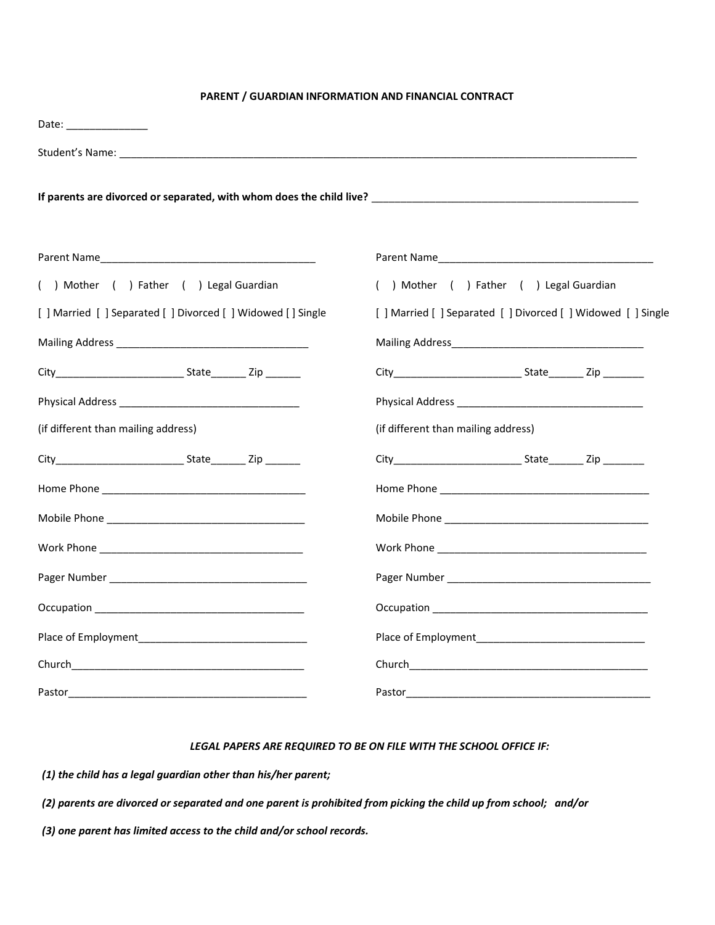### **PARENT / GUARDIAN INFORMATION AND FINANCIAL CONTRACT**

| Date: _________________                                       |                                                               |
|---------------------------------------------------------------|---------------------------------------------------------------|
|                                                               |                                                               |
|                                                               |                                                               |
|                                                               |                                                               |
| ( ) Mother ( ) Father ( ) Legal Guardian                      | ( ) Mother ( ) Father ( ) Legal Guardian                      |
| [ ] Married [ ] Separated [ ] Divorced [ ] Widowed [ ] Single | [ ] Married [ ] Separated [ ] Divorced [ ] Widowed [ ] Single |
|                                                               |                                                               |
|                                                               |                                                               |
|                                                               |                                                               |
| (if different than mailing address)                           | (if different than mailing address)                           |
|                                                               |                                                               |
|                                                               |                                                               |
|                                                               |                                                               |
|                                                               |                                                               |
|                                                               |                                                               |
|                                                               |                                                               |
|                                                               |                                                               |
|                                                               |                                                               |
|                                                               |                                                               |

#### *LEGAL PAPERS ARE REQUIRED TO BE ON FILE WITH THE SCHOOL OFFICE IF:*

*(1) the child has a legal guardian other than his/her parent;*

*(2) parents are divorced or separated and one parent is prohibited from picking the child up from school; and/or*

*(3) one parent has limited access to the child and/or school records.*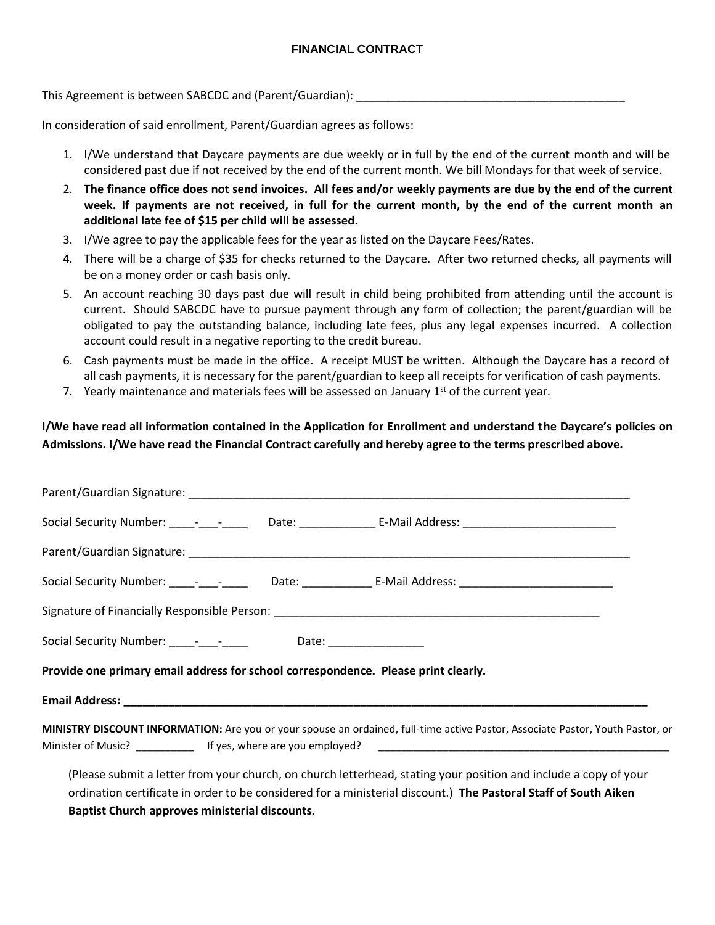### **FINANCIAL CONTRACT**

This Agreement is between SABCDC and (Parent/Guardian):

In consideration of said enrollment, Parent/Guardian agrees as follows:

- 1. I/We understand that Daycare payments are due weekly or in full by the end of the current month and will be considered past due if not received by the end of the current month. We bill Mondays for that week of service.
- 2. **The finance office does not send invoices. All fees and/or weekly payments are due by the end of the current week. If payments are not received, in full for the current month, by the end of the current month an additional late fee of \$15 per child will be assessed.**
- 3. I/We agree to pay the applicable fees for the year as listed on the Daycare Fees/Rates.
- 4. There will be a charge of \$35 for checks returned to the Daycare. After two returned checks, all payments will be on a money order or cash basis only.
- 5. An account reaching 30 days past due will result in child being prohibited from attending until the account is current. Should SABCDC have to pursue payment through any form of collection; the parent/guardian will be obligated to pay the outstanding balance, including late fees, plus any legal expenses incurred. A collection account could result in a negative reporting to the credit bureau.
- 6. Cash payments must be made in the office. A receipt MUST be written. Although the Daycare has a record of all cash payments, it is necessary for the parent/guardian to keep all receipts for verification of cash payments.
- 7. Yearly maintenance and materials fees will be assessed on January  $1^{st}$  of the current year.

### **I/We have read all information contained in the Application for Enrollment and understand the Daycare's policies on Admissions. I/We have read the Financial Contract carefully and hereby agree to the terms prescribed above.**

|                                                                                    |  | Social Security Number: _____-_____________Date: ___________________E-Mail Address: __________________________                 |
|------------------------------------------------------------------------------------|--|--------------------------------------------------------------------------------------------------------------------------------|
|                                                                                    |  |                                                                                                                                |
|                                                                                    |  | Social Security Number: _____-_____________Date: __________________E-Mail Address: ___________________________                 |
|                                                                                    |  |                                                                                                                                |
|                                                                                    |  |                                                                                                                                |
| Provide one primary email address for school correspondence. Please print clearly. |  |                                                                                                                                |
|                                                                                    |  |                                                                                                                                |
|                                                                                    |  | MINISTRY DISCOUNT INFORMATION: Are you or your spouse an ordained, full-time active Pastor, Associate Pastor, Youth Pastor, or |
|                                                                                    |  | (Please submit a letter from your church, on church letterhead, stating your position and include a copy of your               |

ordination certificate in order to be considered for a ministerial discount.) **The Pastoral Staff of South Aiken Baptist Church approves ministerial discounts.**